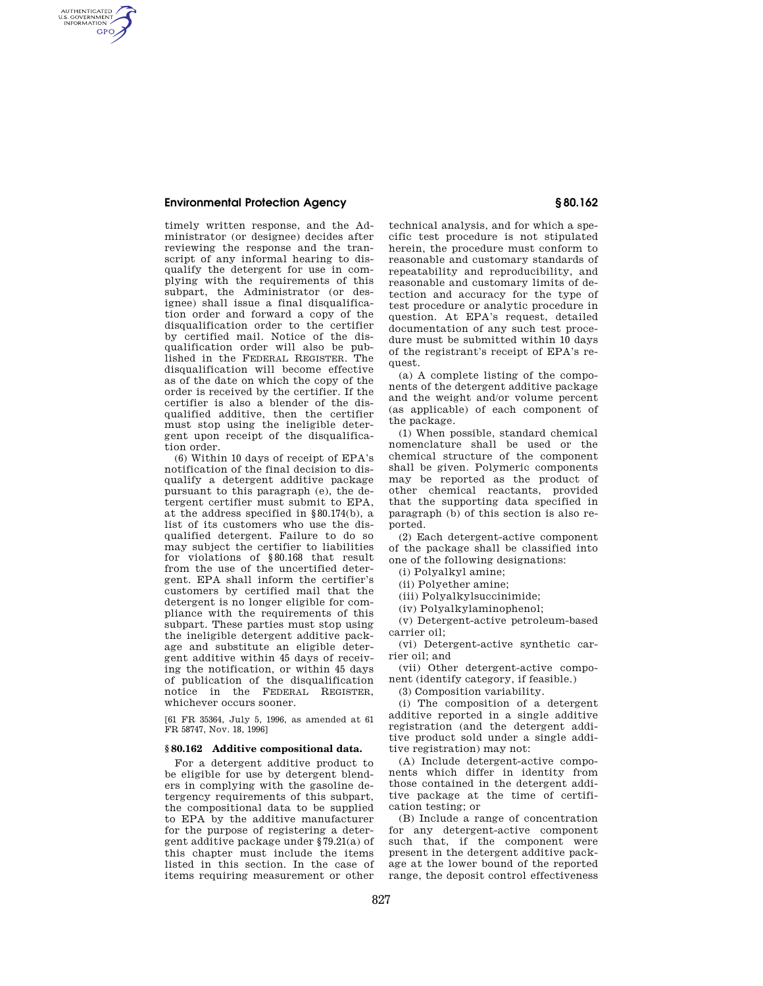## **Environmental Protection Agency § 80.162**

AUTHENTICATED<br>U.S. GOVERNMENT<br>INFORMATION **GPO** 

> timely written response, and the Administrator (or designee) decides after reviewing the response and the transcript of any informal hearing to disqualify the detergent for use in complying with the requirements of this subpart, the Administrator (or designee) shall issue a final disqualification order and forward a copy of the disqualification order to the certifier by certified mail. Notice of the disqualification order will also be published in the FEDERAL REGISTER. The disqualification will become effective as of the date on which the copy of the order is received by the certifier. If the certifier is also a blender of the disqualified additive, then the certifier must stop using the ineligible detergent upon receipt of the disqualification order.

> (6) Within 10 days of receipt of EPA's notification of the final decision to disqualify a detergent additive package pursuant to this paragraph (e), the detergent certifier must submit to EPA, at the address specified in §80.174(b), a list of its customers who use the disqualified detergent. Failure to do so may subject the certifier to liabilities for violations of §80.168 that result from the use of the uncertified detergent. EPA shall inform the certifier's customers by certified mail that the detergent is no longer eligible for compliance with the requirements of this subpart. These parties must stop using the ineligible detergent additive package and substitute an eligible detergent additive within 45 days of receiving the notification, or within 45 days of publication of the disqualification notice in the FEDERAL REGISTER, whichever occurs sooner.

[61 FR 35364, July 5, 1996, as amended at 61 FR 58747, Nov. 18, 1996]

## **§ 80.162 Additive compositional data.**

For a detergent additive product to be eligible for use by detergent blenders in complying with the gasoline detergency requirements of this subpart, the compositional data to be supplied to EPA by the additive manufacturer for the purpose of registering a detergent additive package under §79.21(a) of this chapter must include the items listed in this section. In the case of items requiring measurement or other

technical analysis, and for which a specific test procedure is not stipulated herein, the procedure must conform to reasonable and customary standards of repeatability and reproducibility, and reasonable and customary limits of detection and accuracy for the type of test procedure or analytic procedure in question. At EPA's request, detailed documentation of any such test procedure must be submitted within 10 days of the registrant's receipt of EPA's request.

(a) A complete listing of the components of the detergent additive package and the weight and/or volume percent (as applicable) of each component of the package.

(1) When possible, standard chemical nomenclature shall be used or the chemical structure of the component shall be given. Polymeric components may be reported as the product of other chemical reactants, provided that the supporting data specified in paragraph (b) of this section is also reported.

(2) Each detergent-active component of the package shall be classified into one of the following designations:

(i) Polyalkyl amine;

(ii) Polyether amine;

(iii) Polyalkylsuccinimide;

(iv) Polyalkylaminophenol;

(v) Detergent-active petroleum-based carrier oil;

(vi) Detergent-active synthetic carrier oil; and

(vii) Other detergent-active component (identify category, if feasible.)

(3) Composition variability.

(i) The composition of a detergent additive reported in a single additive registration (and the detergent additive product sold under a single additive registration) may not:

(A) Include detergent-active components which differ in identity from those contained in the detergent additive package at the time of certification testing; or

(B) Include a range of concentration for any detergent-active component such that, if the component were present in the detergent additive package at the lower bound of the reported range, the deposit control effectiveness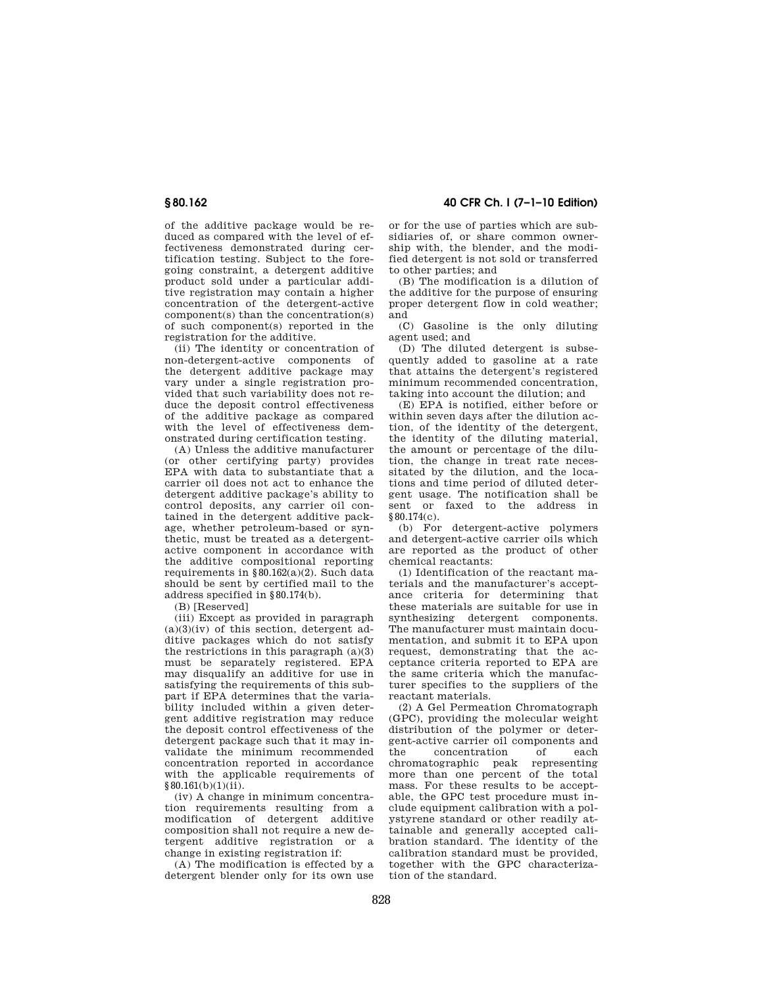**§ 80.162 40 CFR Ch. I (7–1–10 Edition)** 

of the additive package would be reduced as compared with the level of effectiveness demonstrated during certification testing. Subject to the foregoing constraint, a detergent additive product sold under a particular additive registration may contain a higher concentration of the detergent-active component(s) than the concentration(s) of such component(s) reported in the registration for the additive.

(ii) The identity or concentration of non-detergent-active components of the detergent additive package may vary under a single registration provided that such variability does not reduce the deposit control effectiveness of the additive package as compared with the level of effectiveness demonstrated during certification testing.

(A) Unless the additive manufacturer (or other certifying party) provides EPA with data to substantiate that a carrier oil does not act to enhance the detergent additive package's ability to control deposits, any carrier oil contained in the detergent additive package, whether petroleum-based or synthetic, must be treated as a detergentactive component in accordance with the additive compositional reporting requirements in §80.162(a)(2). Such data should be sent by certified mail to the address specified in §80.174(b).

(B) [Reserved]

(iii) Except as provided in paragraph  $(a)(3)(iv)$  of this section, detergent additive packages which do not satisfy the restrictions in this paragraph  $(a)(3)$ must be separately registered. EPA may disqualify an additive for use in satisfying the requirements of this subpart if EPA determines that the variability included within a given detergent additive registration may reduce the deposit control effectiveness of the detergent package such that it may invalidate the minimum recommended concentration reported in accordance with the applicable requirements of  $§80.161(b)(1)(ii).$ 

(iv) A change in minimum concentration requirements resulting from a modification of detergent additive composition shall not require a new detergent additive registration or change in existing registration if:

(A) The modification is effected by a detergent blender only for its own use

or for the use of parties which are subsidiaries of, or share common ownership with, the blender, and the modified detergent is not sold or transferred to other parties; and

(B) The modification is a dilution of the additive for the purpose of ensuring proper detergent flow in cold weather; and

(C) Gasoline is the only diluting agent used; and

 $(D)$  The diluted detergent is subsequently added to gasoline at a rate that attains the detergent's registered minimum recommended concentration, taking into account the dilution; and

(E) EPA is notified, either before or within seven days after the dilution action, of the identity of the detergent, the identity of the diluting material, the amount or percentage of the dilution, the change in treat rate necessitated by the dilution, and the locations and time period of diluted detergent usage. The notification shall be sent or faxed to the address in §80.174(c).

(b) For detergent-active polymers and detergent-active carrier oils which are reported as the product of other chemical reactants:

(1) Identification of the reactant materials and the manufacturer's acceptance criteria for determining that these materials are suitable for use in synthesizing detergent components. The manufacturer must maintain documentation, and submit it to EPA upon request, demonstrating that the acceptance criteria reported to EPA are the same criteria which the manufacturer specifies to the suppliers of the reactant materials.

(2) A Gel Permeation Chromatograph (GPC), providing the molecular weight distribution of the polymer or detergent-active carrier oil components and the concentration of each<br>chromatographic peak representing chromatographic peak more than one percent of the total mass. For these results to be acceptable, the GPC test procedure must include equipment calibration with a polystyrene standard or other readily attainable and generally accepted calibration standard. The identity of the calibration standard must be provided, together with the GPC characterization of the standard.